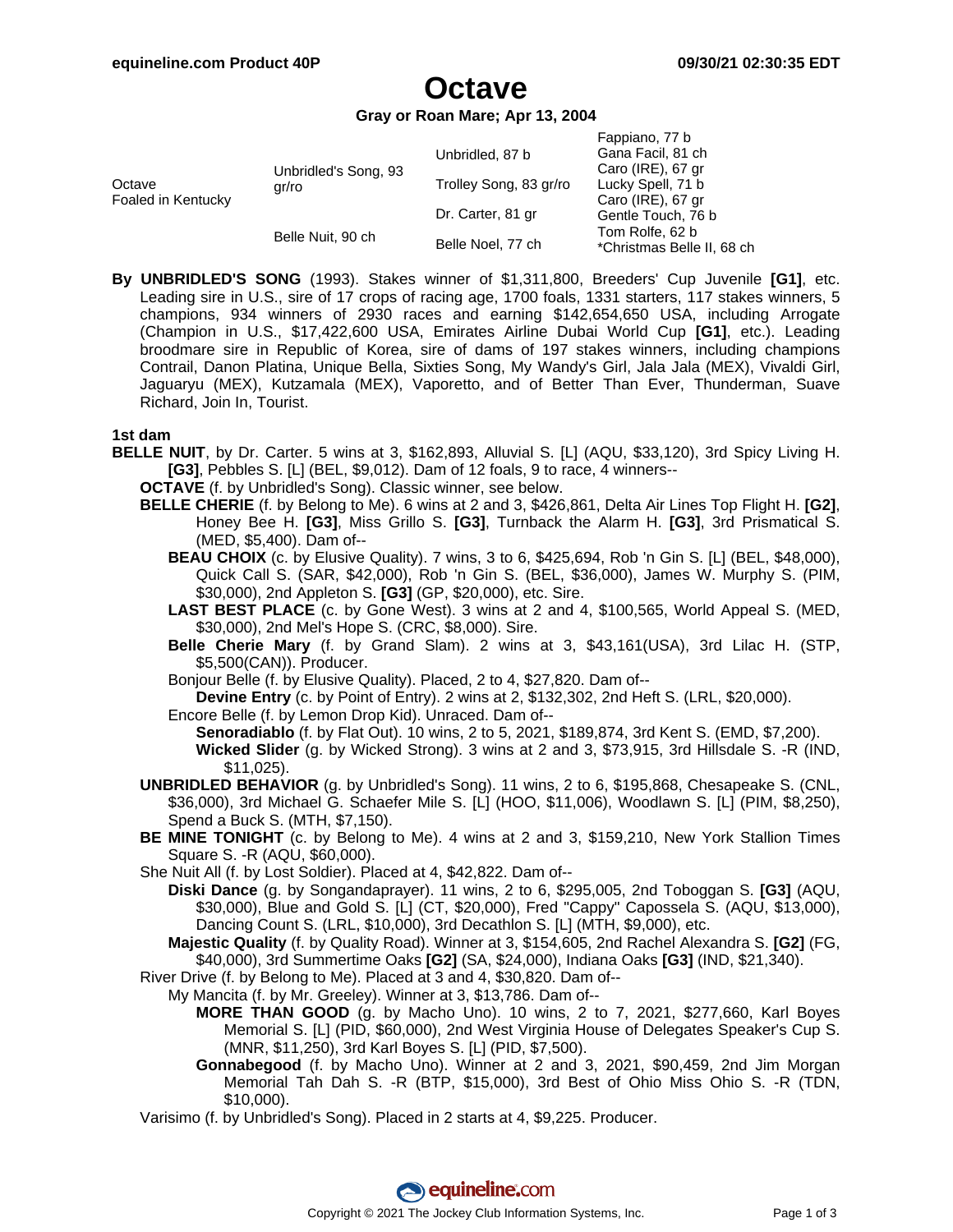Fappiano, 77 b

# **Octave**

**Gray or Roan Mare; Apr 13, 2004**

|                              |                               |                        | rappiano, <i>n</i> p       |
|------------------------------|-------------------------------|------------------------|----------------------------|
| Octave<br>Foaled in Kentucky | Unbridled's Song, 93<br>gr/ro | Unbridled, 87 b        | Gana Facil, 81 ch          |
|                              |                               |                        | Caro (IRE), 67 gr          |
|                              |                               | Trolley Song, 83 gr/ro | Lucky Spell, 71 b          |
|                              |                               |                        | Caro (IRE), 67 gr          |
|                              |                               | Dr. Carter, 81 gr      | Gentle Touch, 76 b         |
|                              | Belle Nuit, 90 ch             | Belle Noel, 77 ch      | Tom Rolfe, 62 b            |
|                              |                               |                        | *Christmas Belle II, 68 ch |
|                              |                               |                        |                            |

**By UNBRIDLED'S SONG** (1993). Stakes winner of \$1,311,800, Breeders' Cup Juvenile **[G1]**, etc. Leading sire in U.S., sire of 17 crops of racing age, 1700 foals, 1331 starters, 117 stakes winners, 5 champions, 934 winners of 2930 races and earning \$142,654,650 USA, including Arrogate (Champion in U.S., \$17,422,600 USA, Emirates Airline Dubai World Cup **[G1]**, etc.). Leading broodmare sire in Republic of Korea, sire of dams of 197 stakes winners, including champions Contrail, Danon Platina, Unique Bella, Sixties Song, My Wandy's Girl, Jala Jala (MEX), Vivaldi Girl, Jaguaryu (MEX), Kutzamala (MEX), Vaporetto, and of Better Than Ever, Thunderman, Suave Richard, Join In, Tourist.

### **1st dam**

- **BELLE NUIT**, by Dr. Carter. 5 wins at 3, \$162,893, Alluvial S. [L] (AQU, \$33,120), 3rd Spicy Living H. **[G3]**, Pebbles S. [L] (BEL, \$9,012). Dam of 12 foals, 9 to race, 4 winners--
	- **OCTAVE** (f. by Unbridled's Song). Classic winner, see below.
	- **BELLE CHERIE** (f. by Belong to Me). 6 wins at 2 and 3, \$426,861, Delta Air Lines Top Flight H. **[G2]**, Honey Bee H. **[G3]**, Miss Grillo S. **[G3]**, Turnback the Alarm H. **[G3]**, 3rd Prismatical S. (MED, \$5,400). Dam of--
		- **BEAU CHOIX** (c. by Elusive Quality). 7 wins, 3 to 6, \$425,694, Rob 'n Gin S. [L] (BEL, \$48,000), Quick Call S. (SAR, \$42,000), Rob 'n Gin S. (BEL, \$36,000), James W. Murphy S. (PIM, \$30,000), 2nd Appleton S. **[G3]** (GP, \$20,000), etc. Sire.
		- **LAST BEST PLACE** (c. by Gone West). 3 wins at 2 and 4, \$100,565, World Appeal S. (MED, \$30,000), 2nd Mel's Hope S. (CRC, \$8,000). Sire.
		- **Belle Cherie Mary** (f. by Grand Slam). 2 wins at 3, \$43,161(USA), 3rd Lilac H. (STP, \$5,500(CAN)). Producer.
		- Bonjour Belle (f. by Elusive Quality). Placed, 2 to 4, \$27,820. Dam of--

**Devine Entry** (c. by Point of Entry). 2 wins at 2, \$132,302, 2nd Heft S. (LRL, \$20,000).

- Encore Belle (f. by Lemon Drop Kid). Unraced. Dam of--
- **Senoradiablo** (f. by Flat Out). 10 wins, 2 to 5, 2021, \$189,874, 3rd Kent S. (EMD, \$7,200). **Wicked Slider** (g. by Wicked Strong). 3 wins at 2 and 3, \$73,915, 3rd Hillsdale S. -R (IND, \$11,025).
- **UNBRIDLED BEHAVIOR** (g. by Unbridled's Song). 11 wins, 2 to 6, \$195,868, Chesapeake S. (CNL, \$36,000), 3rd Michael G. Schaefer Mile S. [L] (HOO, \$11,006), Woodlawn S. [L] (PIM, \$8,250), Spend a Buck S. (MTH, \$7,150).
- **BE MINE TONIGHT** (c. by Belong to Me). 4 wins at 2 and 3, \$159,210, New York Stallion Times Square S. -R (AQU, \$60,000).
- She Nuit All (f. by Lost Soldier). Placed at 4, \$42,822. Dam of--
	- **Diski Dance** (g. by Songandaprayer). 11 wins, 2 to 6, \$295,005, 2nd Toboggan S. **[G3]** (AQU, \$30,000), Blue and Gold S. [L] (CT, \$20,000), Fred "Cappy" Capossela S. (AQU, \$13,000), Dancing Count S. (LRL, \$10,000), 3rd Decathlon S. [L] (MTH, \$9,000), etc.
	- **Majestic Quality** (f. by Quality Road). Winner at 3, \$154,605, 2nd Rachel Alexandra S. **[G2]** (FG, \$40,000), 3rd Summertime Oaks **[G2]** (SA, \$24,000), Indiana Oaks **[G3]** (IND, \$21,340).
- River Drive (f. by Belong to Me). Placed at 3 and 4, \$30,820. Dam of--
	- My Mancita (f. by Mr. Greeley). Winner at 3, \$13,786. Dam of--
		- **MORE THAN GOOD** (g. by Macho Uno). 10 wins, 2 to 7, 2021, \$277,660, Karl Boyes Memorial S. [L] (PID, \$60,000), 2nd West Virginia House of Delegates Speaker's Cup S. (MNR, \$11,250), 3rd Karl Boyes S. [L] (PID, \$7,500).
		- **Gonnabegood** (f. by Macho Uno). Winner at 2 and 3, 2021, \$90,459, 2nd Jim Morgan Memorial Tah Dah S. -R (BTP, \$15,000), 3rd Best of Ohio Miss Ohio S. -R (TDN, \$10,000).
- Varisimo (f. by Unbridled's Song). Placed in 2 starts at 4, \$9,225. Producer.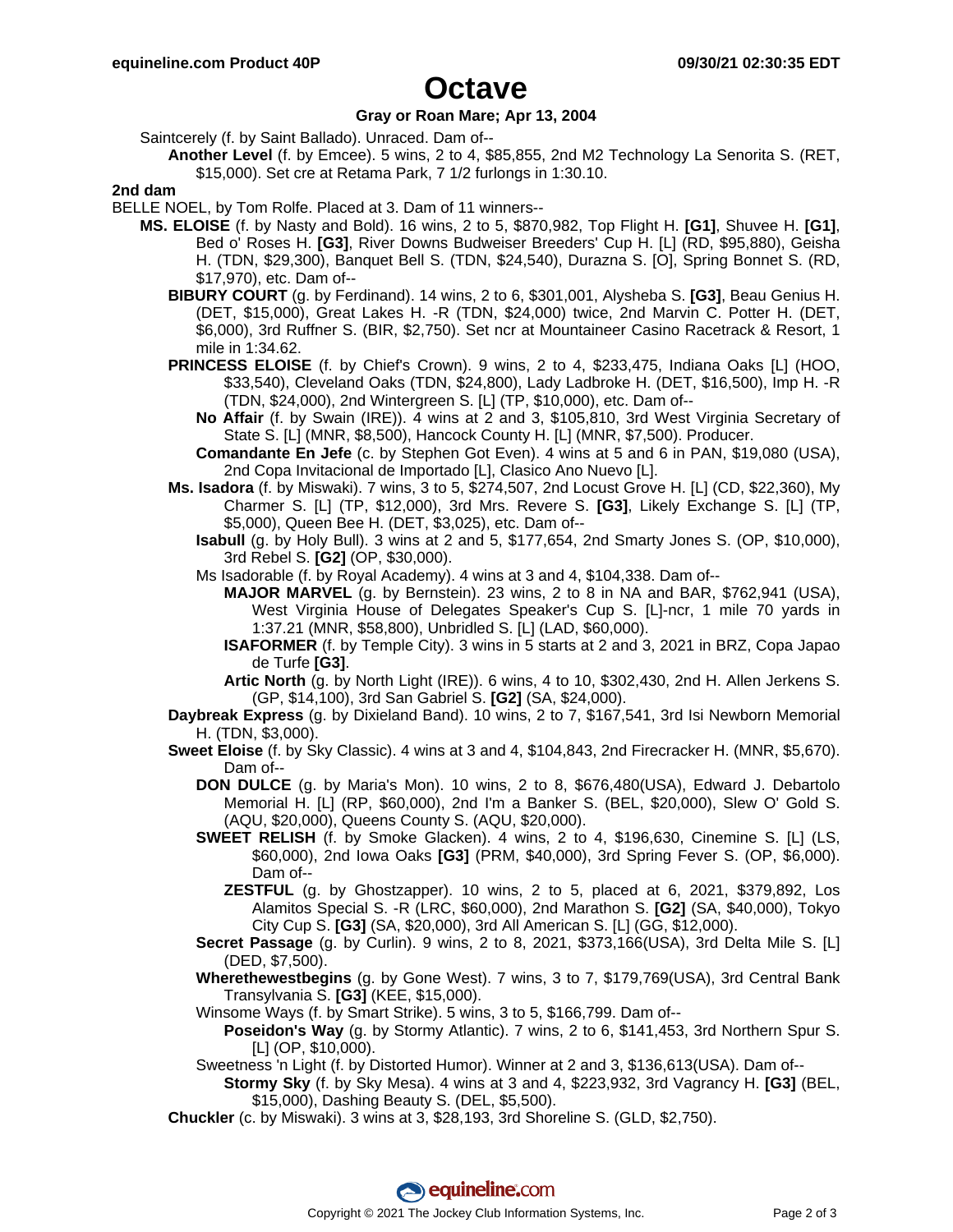# **Octave**

### **Gray or Roan Mare; Apr 13, 2004**

Saintcerely (f. by Saint Ballado). Unraced. Dam of--

**Another Level** (f. by Emcee). 5 wins, 2 to 4, \$85,855, 2nd M2 Technology La Senorita S. (RET, \$15,000). Set cre at Retama Park, 7 1/2 furlongs in 1:30.10.

#### **2nd dam**

BELLE NOEL, by Tom Rolfe. Placed at 3. Dam of 11 winners--

- **MS. ELOISE** (f. by Nasty and Bold). 16 wins, 2 to 5, \$870,982, Top Flight H. **[G1]**, Shuvee H. **[G1]**, Bed o' Roses H. **[G3]**, River Downs Budweiser Breeders' Cup H. [L] (RD, \$95,880), Geisha H. (TDN, \$29,300), Banquet Bell S. (TDN, \$24,540), Durazna S. [O], Spring Bonnet S. (RD, \$17,970), etc. Dam of--
	- **BIBURY COURT** (g. by Ferdinand). 14 wins, 2 to 6, \$301,001, Alysheba S. **[G3]**, Beau Genius H. (DET, \$15,000), Great Lakes H. -R (TDN, \$24,000) twice, 2nd Marvin C. Potter H. (DET, \$6,000), 3rd Ruffner S. (BIR, \$2,750). Set ncr at Mountaineer Casino Racetrack & Resort, 1 mile in 1:34.62.
	- **PRINCESS ELOISE** (f. by Chief's Crown). 9 wins, 2 to 4, \$233,475, Indiana Oaks [L] (HOO, \$33,540), Cleveland Oaks (TDN, \$24,800), Lady Ladbroke H. (DET, \$16,500), Imp H. -R (TDN, \$24,000), 2nd Wintergreen S. [L] (TP, \$10,000), etc. Dam of--
		- **No Affair** (f. by Swain (IRE)). 4 wins at 2 and 3, \$105,810, 3rd West Virginia Secretary of State S. [L] (MNR, \$8,500), Hancock County H. [L] (MNR, \$7,500). Producer.
		- **Comandante En Jefe** (c. by Stephen Got Even). 4 wins at 5 and 6 in PAN, \$19,080 (USA), 2nd Copa Invitacional de Importado [L], Clasico Ano Nuevo [L].
	- **Ms. Isadora** (f. by Miswaki). 7 wins, 3 to 5, \$274,507, 2nd Locust Grove H. [L] (CD, \$22,360), My Charmer S. [L] (TP, \$12,000), 3rd Mrs. Revere S. **[G3]**, Likely Exchange S. [L] (TP, \$5,000), Queen Bee H. (DET, \$3,025), etc. Dam of--
		- **Isabull** (g. by Holy Bull). 3 wins at 2 and 5, \$177,654, 2nd Smarty Jones S. (OP, \$10,000), 3rd Rebel S. **[G2]** (OP, \$30,000).
		- Ms Isadorable (f. by Royal Academy). 4 wins at 3 and 4, \$104,338. Dam of--
			- **MAJOR MARVEL** (g. by Bernstein). 23 wins, 2 to 8 in NA and BAR, \$762,941 (USA), West Virginia House of Delegates Speaker's Cup S. [L]-ncr, 1 mile 70 yards in 1:37.21 (MNR, \$58,800), Unbridled S. [L] (LAD, \$60,000).
			- **ISAFORMER** (f. by Temple City). 3 wins in 5 starts at 2 and 3, 2021 in BRZ, Copa Japao de Turfe **[G3]**.
			- **Artic North** (g. by North Light (IRE)). 6 wins, 4 to 10, \$302,430, 2nd H. Allen Jerkens S. (GP, \$14,100), 3rd San Gabriel S. **[G2]** (SA, \$24,000).
	- **Daybreak Express** (g. by Dixieland Band). 10 wins, 2 to 7, \$167,541, 3rd Isi Newborn Memorial H. (TDN, \$3,000).
	- **Sweet Eloise** (f. by Sky Classic). 4 wins at 3 and 4, \$104,843, 2nd Firecracker H. (MNR, \$5,670). Dam of--
		- **DON DULCE** (g. by Maria's Mon). 10 wins, 2 to 8, \$676,480(USA), Edward J. Debartolo Memorial H. [L] (RP, \$60,000), 2nd I'm a Banker S. (BEL, \$20,000), Slew O' Gold S. (AQU, \$20,000), Queens County S. (AQU, \$20,000).
		- **SWEET RELISH** (f. by Smoke Glacken). 4 wins, 2 to 4, \$196,630, Cinemine S. [L] (LS, \$60,000), 2nd Iowa Oaks **[G3]** (PRM, \$40,000), 3rd Spring Fever S. (OP, \$6,000). Dam of--
			- **ZESTFUL** (g. by Ghostzapper). 10 wins, 2 to 5, placed at 6, 2021, \$379,892, Los Alamitos Special S. -R (LRC, \$60,000), 2nd Marathon S. **[G2]** (SA, \$40,000), Tokyo City Cup S. **[G3]** (SA, \$20,000), 3rd All American S. [L] (GG, \$12,000).
		- **Secret Passage** (g. by Curlin). 9 wins, 2 to 8, 2021, \$373,166(USA), 3rd Delta Mile S. [L] (DED, \$7,500).
		- **Wherethewestbegins** (g. by Gone West). 7 wins, 3 to 7, \$179,769(USA), 3rd Central Bank Transylvania S. **[G3]** (KEE, \$15,000).
		- Winsome Ways (f. by Smart Strike). 5 wins, 3 to 5, \$166,799. Dam of--
			- **Poseidon's Way** (g. by Stormy Atlantic). 7 wins, 2 to 6, \$141,453, 3rd Northern Spur S. [L] (OP, \$10,000).
		- Sweetness 'n Light (f. by Distorted Humor). Winner at 2 and 3, \$136,613(USA). Dam of--
			- **Stormy Sky** (f. by Sky Mesa). 4 wins at 3 and 4, \$223,932, 3rd Vagrancy H. **[G3]** (BEL, \$15,000), Dashing Beauty S. (DEL, \$5,500).
	- **Chuckler** (c. by Miswaki). 3 wins at 3, \$28,193, 3rd Shoreline S. (GLD, \$2,750).